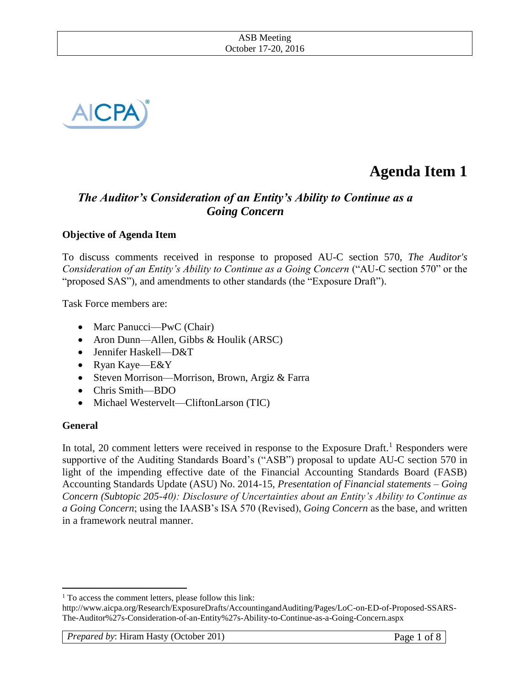

# **Agenda Item 1**

# *The Auditor's Consideration of an Entity's Ability to Continue as a Going Concern*

## **Objective of Agenda Item**

To discuss comments received in response to proposed AU-C section 570, *The Auditor's Consideration of an Entity's Ability to Continue as a Going Concern* ("AU-C section 570" or the "proposed SAS")*,* and amendments to other standards (the "Exposure Draft").

Task Force members are:

- Marc Panucci—PwC (Chair)
- Aron Dunn—Allen, Gibbs & Houlik (ARSC)
- Jennifer Haskell—D&T
- Ryan Kaye—E&Y
- Steven Morrison—Morrison, Brown, Argiz & Farra
- Chris Smith—BDO
- Michael Westervelt—CliftonLarson (TIC)

## **General**

 $\overline{a}$ 

In total, 20 comment letters were received in response to the Exposure Draft.<sup>1</sup> Responders were supportive of the Auditing Standards Board's ("ASB") proposal to update AU-C section 570 in light of the impending effective date of the Financial Accounting Standards Board (FASB) Accounting Standards Update (ASU) No. 2014-15, *Presentation of Financial statements – Going Concern (Subtopic 205-40): Disclosure of Uncertainties about an Entity's Ability to Continue as a Going Concern*; using the IAASB's ISA 570 (Revised), *Going Concern* as the base, and written in a framework neutral manner.

<sup>&</sup>lt;sup>1</sup> To access the comment letters, please follow this link:

http://www.aicpa.org/Research/ExposureDrafts/AccountingandAuditing/Pages/LoC-on-ED-of-Proposed-SSARS-The-Auditor%27s-Consideration-of-an-Entity%27s-Ability-to-Continue-as-a-Going-Concern.aspx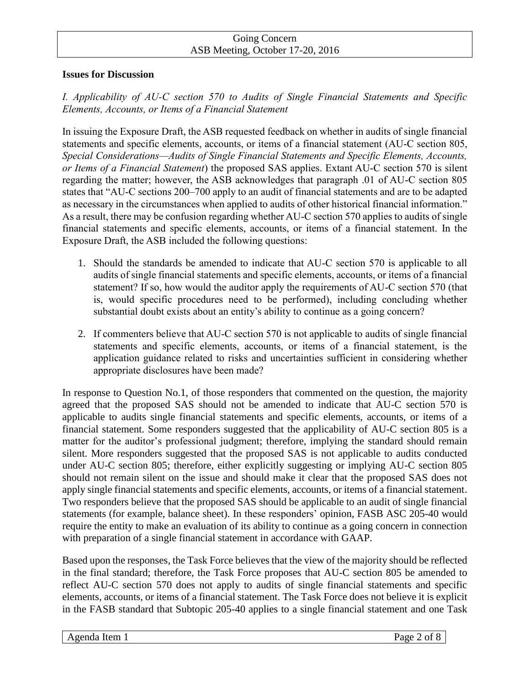#### **Issues for Discussion**

## *I. Applicability of AU-C section 570 to Audits of Single Financial Statements and Specific Elements, Accounts, or Items of a Financial Statement*

In issuing the Exposure Draft, the ASB requested feedback on whether in audits of single financial statements and specific elements, accounts, or items of a financial statement (AU-C section 805, *Special Considerations—Audits of Single Financial Statements and Specific Elements, Accounts, or Items of a Financial Statement*) the proposed SAS applies. Extant AU-C section 570 is silent regarding the matter; however, the ASB acknowledges that paragraph .01 of AU-C section 805 states that "AU-C sections 200–700 apply to an audit of financial statements and are to be adapted as necessary in the circumstances when applied to audits of other historical financial information." As a result, there may be confusion regarding whether AU-C section 570 applies to audits of single financial statements and specific elements, accounts, or items of a financial statement. In the Exposure Draft, the ASB included the following questions:

- 1. Should the standards be amended to indicate that AU-C section 570 is applicable to all audits of single financial statements and specific elements, accounts, or items of a financial statement? If so, how would the auditor apply the requirements of AU-C section 570 (that is, would specific procedures need to be performed), including concluding whether substantial doubt exists about an entity's ability to continue as a going concern?
- 2. If commenters believe that AU-C section 570 is not applicable to audits of single financial statements and specific elements, accounts, or items of a financial statement, is the application guidance related to risks and uncertainties sufficient in considering whether appropriate disclosures have been made?

In response to Question No.1, of those responders that commented on the question, the majority agreed that the proposed SAS should not be amended to indicate that AU-C section 570 is applicable to audits single financial statements and specific elements, accounts, or items of a financial statement. Some responders suggested that the applicability of AU-C section 805 is a matter for the auditor's professional judgment; therefore, implying the standard should remain silent. More responders suggested that the proposed SAS is not applicable to audits conducted under AU-C section 805; therefore, either explicitly suggesting or implying AU-C section 805 should not remain silent on the issue and should make it clear that the proposed SAS does not apply single financial statements and specific elements, accounts, or items of a financial statement. Two responders believe that the proposed SAS should be applicable to an audit of single financial statements (for example, balance sheet). In these responders' opinion, FASB ASC 205-40 would require the entity to make an evaluation of its ability to continue as a going concern in connection with preparation of a single financial statement in accordance with GAAP.

Based upon the responses, the Task Force believes that the view of the majority should be reflected in the final standard; therefore, the Task Force proposes that AU-C section 805 be amended to reflect AU-C section 570 does not apply to audits of single financial statements and specific elements, accounts, or items of a financial statement. The Task Force does not believe it is explicit in the FASB standard that Subtopic 205-40 applies to a single financial statement and one Task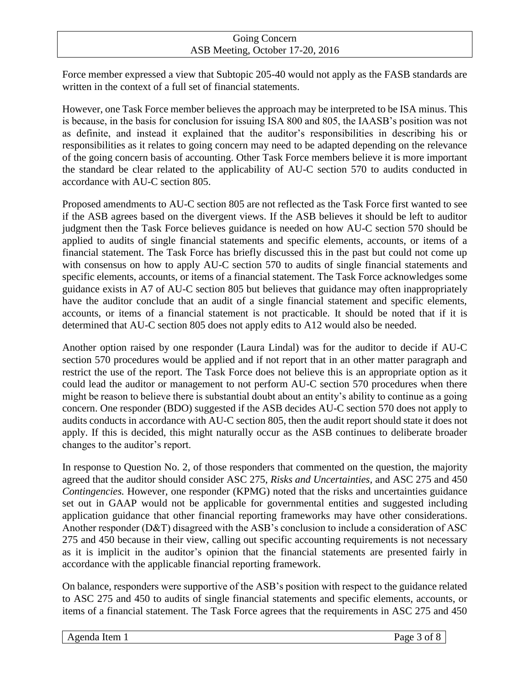Force member expressed a view that Subtopic 205-40 would not apply as the FASB standards are written in the context of a full set of financial statements.

However, one Task Force member believes the approach may be interpreted to be ISA minus. This is because, in the basis for conclusion for issuing ISA 800 and 805, the IAASB's position was not as definite, and instead it explained that the auditor's responsibilities in describing his or responsibilities as it relates to going concern may need to be adapted depending on the relevance of the going concern basis of accounting. Other Task Force members believe it is more important the standard be clear related to the applicability of AU-C section 570 to audits conducted in accordance with AU-C section 805.

Proposed amendments to AU-C section 805 are not reflected as the Task Force first wanted to see if the ASB agrees based on the divergent views. If the ASB believes it should be left to auditor judgment then the Task Force believes guidance is needed on how AU-C section 570 should be applied to audits of single financial statements and specific elements, accounts, or items of a financial statement. The Task Force has briefly discussed this in the past but could not come up with consensus on how to apply AU-C section 570 to audits of single financial statements and specific elements, accounts, or items of a financial statement. The Task Force acknowledges some guidance exists in A7 of AU-C section 805 but believes that guidance may often inappropriately have the auditor conclude that an audit of a single financial statement and specific elements, accounts, or items of a financial statement is not practicable. It should be noted that if it is determined that AU-C section 805 does not apply edits to A12 would also be needed.

Another option raised by one responder (Laura Lindal) was for the auditor to decide if AU-C section 570 procedures would be applied and if not report that in an other matter paragraph and restrict the use of the report. The Task Force does not believe this is an appropriate option as it could lead the auditor or management to not perform AU-C section 570 procedures when there might be reason to believe there is substantial doubt about an entity's ability to continue as a going concern. One responder (BDO) suggested if the ASB decides AU-C section 570 does not apply to audits conducts in accordance with AU-C section 805, then the audit report should state it does not apply. If this is decided, this might naturally occur as the ASB continues to deliberate broader changes to the auditor's report.

In response to Question No. 2, of those responders that commented on the question, the majority agreed that the auditor should consider ASC 275, *Risks and Uncertainties,* and ASC 275 and 450 *Contingencies.* However, one responder (KPMG) noted that the risks and uncertainties guidance set out in GAAP would not be applicable for governmental entities and suggested including application guidance that other financial reporting frameworks may have other considerations. Another responder (D&T) disagreed with the ASB's conclusion to include a consideration of ASC 275 and 450 because in their view, calling out specific accounting requirements is not necessary as it is implicit in the auditor's opinion that the financial statements are presented fairly in accordance with the applicable financial reporting framework.

On balance, responders were supportive of the ASB's position with respect to the guidance related to ASC 275 and 450 to audits of single financial statements and specific elements, accounts, or items of a financial statement. The Task Force agrees that the requirements in ASC 275 and 450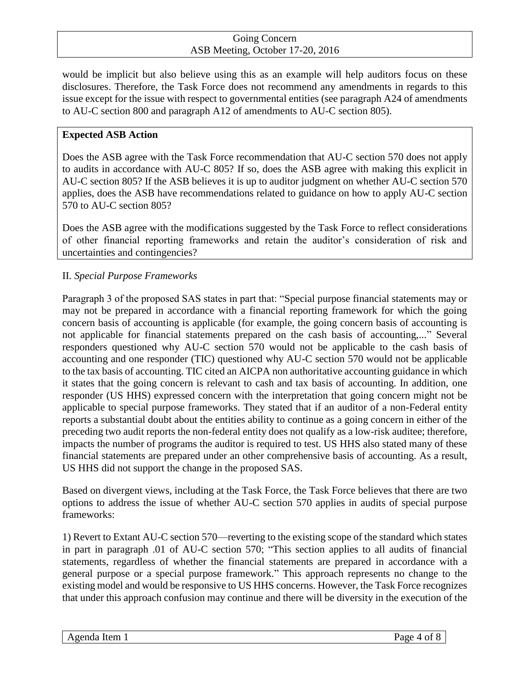would be implicit but also believe using this as an example will help auditors focus on these disclosures. Therefore, the Task Force does not recommend any amendments in regards to this issue except for the issue with respect to governmental entities (see paragraph A24 of amendments to AU-C section 800 and paragraph A12 of amendments to AU-C section 805).

## **Expected ASB Action**

Does the ASB agree with the Task Force recommendation that AU-C section 570 does not apply to audits in accordance with AU-C 805? If so, does the ASB agree with making this explicit in AU-C section 805? If the ASB believes it is up to auditor judgment on whether AU-C section 570 applies, does the ASB have recommendations related to guidance on how to apply AU-C section 570 to AU-C section 805?

Does the ASB agree with the modifications suggested by the Task Force to reflect considerations of other financial reporting frameworks and retain the auditor's consideration of risk and uncertainties and contingencies?

# II. *Special Purpose Frameworks*

Paragraph 3 of the proposed SAS states in part that: "Special purpose financial statements may or may not be prepared in accordance with a financial reporting framework for which the going concern basis of accounting is applicable (for example, the going concern basis of accounting is not applicable for financial statements prepared on the cash basis of accounting,..." Several responders questioned why AU-C section 570 would not be applicable to the cash basis of accounting and one responder (TIC) questioned why AU-C section 570 would not be applicable to the tax basis of accounting. TIC cited an AICPA non authoritative accounting guidance in which it states that the going concern is relevant to cash and tax basis of accounting. In addition, one responder (US HHS) expressed concern with the interpretation that going concern might not be applicable to special purpose frameworks. They stated that if an auditor of a non-Federal entity reports a substantial doubt about the entities ability to continue as a going concern in either of the preceding two audit reports the non-federal entity does not qualify as a low-risk auditee; therefore, impacts the number of programs the auditor is required to test. US HHS also stated many of these financial statements are prepared under an other comprehensive basis of accounting. As a result, US HHS did not support the change in the proposed SAS.

Based on divergent views, including at the Task Force, the Task Force believes that there are two options to address the issue of whether AU-C section 570 applies in audits of special purpose frameworks:

1) Revert to Extant AU-C section 570—reverting to the existing scope of the standard which states in part in paragraph .01 of AU-C section 570; "This section applies to all audits of financial statements, regardless of whether the financial statements are prepared in accordance with a general purpose or a special purpose framework." This approach represents no change to the existing model and would be responsive to US HHS concerns. However, the Task Force recognizes that under this approach confusion may continue and there will be diversity in the execution of the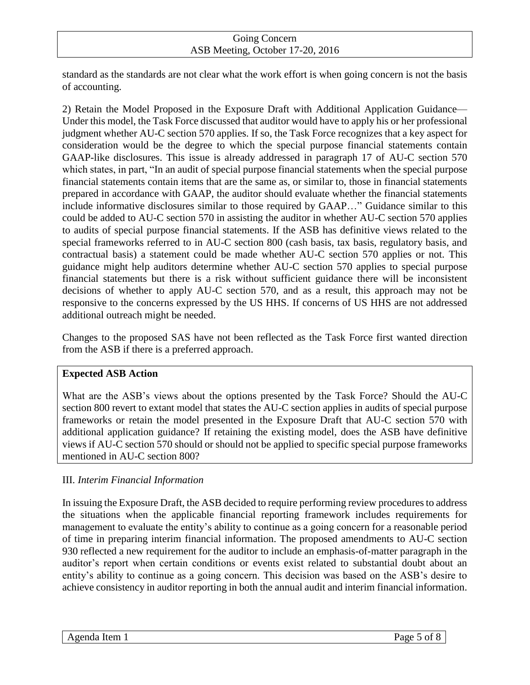standard as the standards are not clear what the work effort is when going concern is not the basis of accounting.

2) Retain the Model Proposed in the Exposure Draft with Additional Application Guidance— Under this model, the Task Force discussed that auditor would have to apply his or her professional judgment whether AU-C section 570 applies. If so, the Task Force recognizes that a key aspect for consideration would be the degree to which the special purpose financial statements contain GAAP-like disclosures. This issue is already addressed in paragraph 17 of AU-C section 570 which states, in part, "In an audit of special purpose financial statements when the special purpose financial statements contain items that are the same as, or similar to, those in financial statements prepared in accordance with GAAP, the auditor should evaluate whether the financial statements include informative disclosures similar to those required by GAAP…" Guidance similar to this could be added to AU-C section 570 in assisting the auditor in whether AU-C section 570 applies to audits of special purpose financial statements. If the ASB has definitive views related to the special frameworks referred to in AU-C section 800 (cash basis, tax basis, regulatory basis, and contractual basis) a statement could be made whether AU-C section 570 applies or not. This guidance might help auditors determine whether AU-C section 570 applies to special purpose financial statements but there is a risk without sufficient guidance there will be inconsistent decisions of whether to apply AU-C section 570, and as a result, this approach may not be responsive to the concerns expressed by the US HHS. If concerns of US HHS are not addressed additional outreach might be needed.

Changes to the proposed SAS have not been reflected as the Task Force first wanted direction from the ASB if there is a preferred approach.

# **Expected ASB Action**

What are the ASB's views about the options presented by the Task Force? Should the AU-C section 800 revert to extant model that states the AU-C section applies in audits of special purpose frameworks or retain the model presented in the Exposure Draft that AU-C section 570 with additional application guidance? If retaining the existing model, does the ASB have definitive views if AU-C section 570 should or should not be applied to specific special purpose frameworks mentioned in AU-C section 800?

# III. *Interim Financial Information*

In issuing the Exposure Draft, the ASB decided to require performing review procedures to address the situations when the applicable financial reporting framework includes requirements for management to evaluate the entity's ability to continue as a going concern for a reasonable period of time in preparing interim financial information. The proposed amendments to AU-C section 930 reflected a new requirement for the auditor to include an emphasis-of-matter paragraph in the auditor's report when certain conditions or events exist related to substantial doubt about an entity's ability to continue as a going concern. This decision was based on the ASB's desire to achieve consistency in auditor reporting in both the annual audit and interim financial information.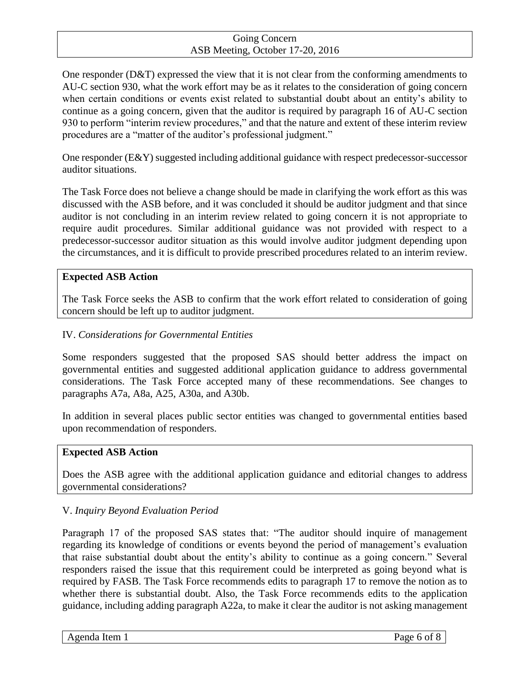One responder  $(D&T)$  expressed the view that it is not clear from the conforming amendments to AU-C section 930, what the work effort may be as it relates to the consideration of going concern when certain conditions or events exist related to substantial doubt about an entity's ability to continue as a going concern, given that the auditor is required by paragraph 16 of AU-C section 930 to perform "interim review procedures," and that the nature and extent of these interim review procedures are a "matter of the auditor's professional judgment."

One responder (E&Y) suggested including additional guidance with respect predecessor-successor auditor situations.

The Task Force does not believe a change should be made in clarifying the work effort as this was discussed with the ASB before, and it was concluded it should be auditor judgment and that since auditor is not concluding in an interim review related to going concern it is not appropriate to require audit procedures. Similar additional guidance was not provided with respect to a predecessor-successor auditor situation as this would involve auditor judgment depending upon the circumstances, and it is difficult to provide prescribed procedures related to an interim review.

## **Expected ASB Action**

The Task Force seeks the ASB to confirm that the work effort related to consideration of going concern should be left up to auditor judgment.

# IV. *Considerations for Governmental Entities*

Some responders suggested that the proposed SAS should better address the impact on governmental entities and suggested additional application guidance to address governmental considerations. The Task Force accepted many of these recommendations. See changes to paragraphs A7a, A8a, A25, A30a, and A30b.

In addition in several places public sector entities was changed to governmental entities based upon recommendation of responders.

## **Expected ASB Action**

Does the ASB agree with the additional application guidance and editorial changes to address governmental considerations?

## V. *Inquiry Beyond Evaluation Period*

Paragraph 17 of the proposed SAS states that: "The auditor should inquire of management regarding its knowledge of conditions or events beyond the period of management's evaluation that raise substantial doubt about the entity's ability to continue as a going concern." Several responders raised the issue that this requirement could be interpreted as going beyond what is required by FASB. The Task Force recommends edits to paragraph 17 to remove the notion as to whether there is substantial doubt. Also, the Task Force recommends edits to the application guidance, including adding paragraph A22a, to make it clear the auditor is not asking management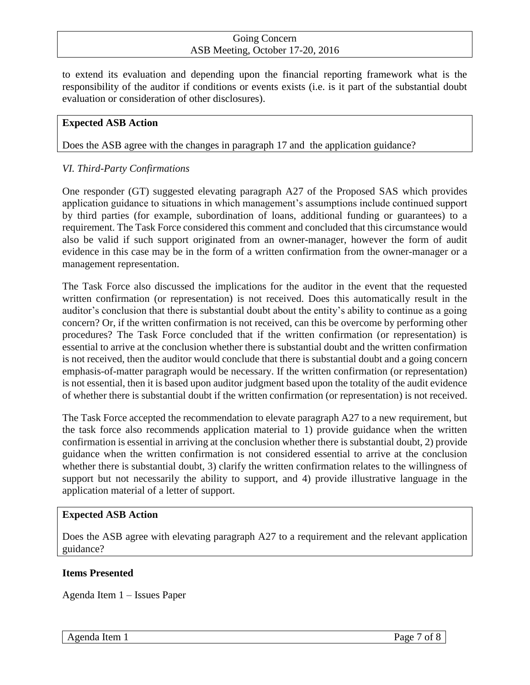to extend its evaluation and depending upon the financial reporting framework what is the responsibility of the auditor if conditions or events exists (i.e. is it part of the substantial doubt evaluation or consideration of other disclosures).

## **Expected ASB Action**

Does the ASB agree with the changes in paragraph 17 and the application guidance?

## *VI. Third-Party Confirmations*

One responder (GT) suggested elevating paragraph A27 of the Proposed SAS which provides application guidance to situations in which management's assumptions include continued support by third parties (for example, subordination of loans, additional funding or guarantees) to a requirement. The Task Force considered this comment and concluded that this circumstance would also be valid if such support originated from an owner-manager, however the form of audit evidence in this case may be in the form of a written confirmation from the owner-manager or a management representation.

The Task Force also discussed the implications for the auditor in the event that the requested written confirmation (or representation) is not received. Does this automatically result in the auditor's conclusion that there is substantial doubt about the entity's ability to continue as a going concern? Or, if the written confirmation is not received, can this be overcome by performing other procedures? The Task Force concluded that if the written confirmation (or representation) is essential to arrive at the conclusion whether there is substantial doubt and the written confirmation is not received, then the auditor would conclude that there is substantial doubt and a going concern emphasis-of-matter paragraph would be necessary. If the written confirmation (or representation) is not essential, then it is based upon auditor judgment based upon the totality of the audit evidence of whether there is substantial doubt if the written confirmation (or representation) is not received.

The Task Force accepted the recommendation to elevate paragraph A27 to a new requirement, but the task force also recommends application material to 1) provide guidance when the written confirmation is essential in arriving at the conclusion whether there is substantial doubt, 2) provide guidance when the written confirmation is not considered essential to arrive at the conclusion whether there is substantial doubt, 3) clarify the written confirmation relates to the willingness of support but not necessarily the ability to support, and 4) provide illustrative language in the application material of a letter of support.

#### **Expected ASB Action**

Does the ASB agree with elevating paragraph A27 to a requirement and the relevant application guidance?

#### **Items Presented**

Agenda Item 1 – Issues Paper